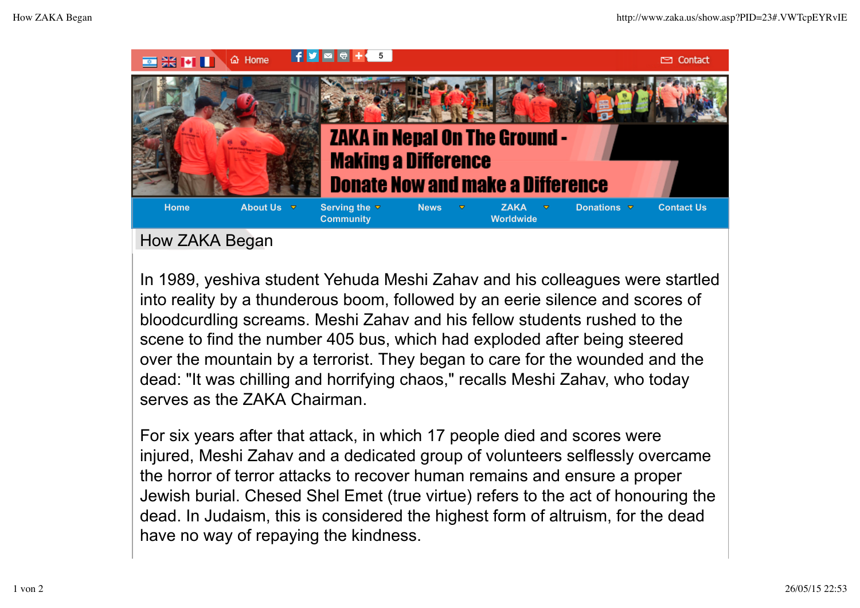

## How ZAKA Began

In 1989, yeshiva student Yehuda Meshi Zahav and his colleagues were startled into reality by a thunderous boom, followed by an eerie silence and scores of bloodcurdling screams. Meshi Zahav and his fellow students rushed to the scene to find the number 405 bus, which had exploded after being steered over the mountain by a terrorist. They began to care for the wounded and the dead: "It was chilling and horrifying chaos," recalls Meshi Zahav, who today serves as the ZAKA Chairman.

For six years after that attack, in which 17 people died and scores were injured, Meshi Zahav and a dedicated group of volunteers selflessly overcame the horror of terror attacks to recover human remains and ensure a proper Jewish burial. Chesed Shel Emet (true virtue) refers to the act of honouring the dead. In Judaism, this is considered the highest form of altruism, for the dead have no way of repaying the kindness.